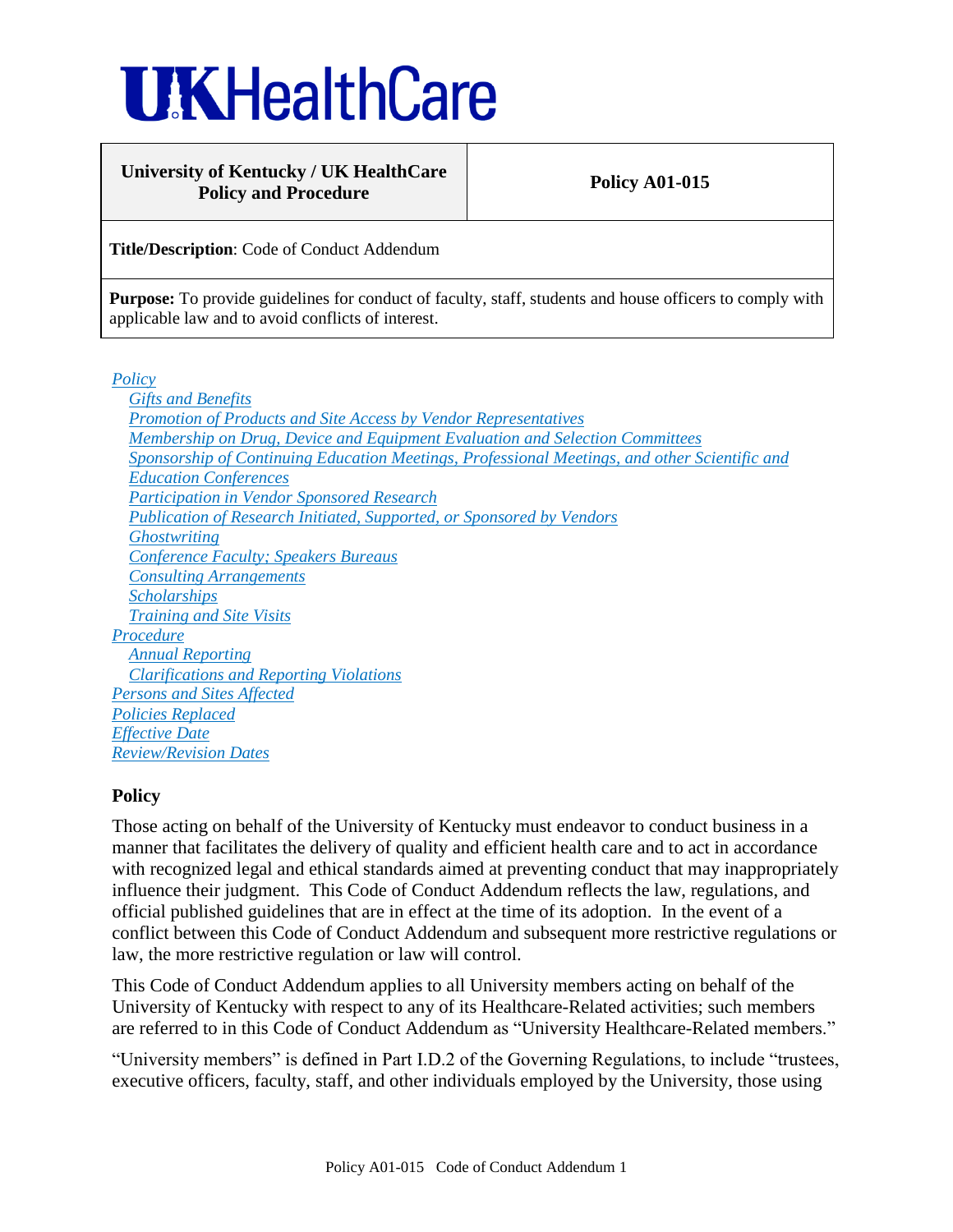# **UKHealthCare**

## **University of Kentucky / UK HealthCare** Policy and Procedure **Policy A01-015**

**Title/Description**: Code of Conduct Addendum

Purpose: To provide guidelines for conduct of faculty, staff, students and house officers to comply with applicable law and to avoid conflicts of interest.

*Policy*

*Gifts and Benefits Promotion of Products and Site Access by Vendor Representatives Membership on Drug, Device and Equipment Evaluation and Selection Committees Sponsorship of Continuing Education Meetings, Professional Meetings, and other Scientific and Education Conferences Participation in Vendor Sponsored Research Publication of Research Initiated, Supported, or Sponsored by Vendors Ghostwriting Conference Faculty; Speakers Bureaus Consulting Arrangements Scholarships Training and Site Visits Procedure Annual Reporting Clarifications and Reporting Violations Persons and Sites Affected Policies Replaced Effective Date Review/Revision Dates*

# **Policy**

Those acting on behalf of the University of Kentucky must endeavor to conduct business in a manner that facilitates the delivery of quality and efficient health care and to act in accordance with recognized legal and ethical standards aimed at preventing conduct that may inappropriately influence their judgment. This Code of Conduct Addendum reflects the law, regulations, and official published guidelines that are in effect at the time of its adoption. In the event of a conflict between this Code of Conduct Addendum and subsequent more restrictive regulations or law, the more restrictive regulation or law will control.

This Code of Conduct Addendum applies to all University members acting on behalf of the University of Kentucky with respect to any of its Healthcare-Related activities; such members are referred to in this Code of Conduct Addendum as "University Healthcare-Related members."

"University members" is defined in Part I.D.2 of the Governing Regulations, to include "trustees, executive officers, faculty, staff, and other individuals employed by the University, those using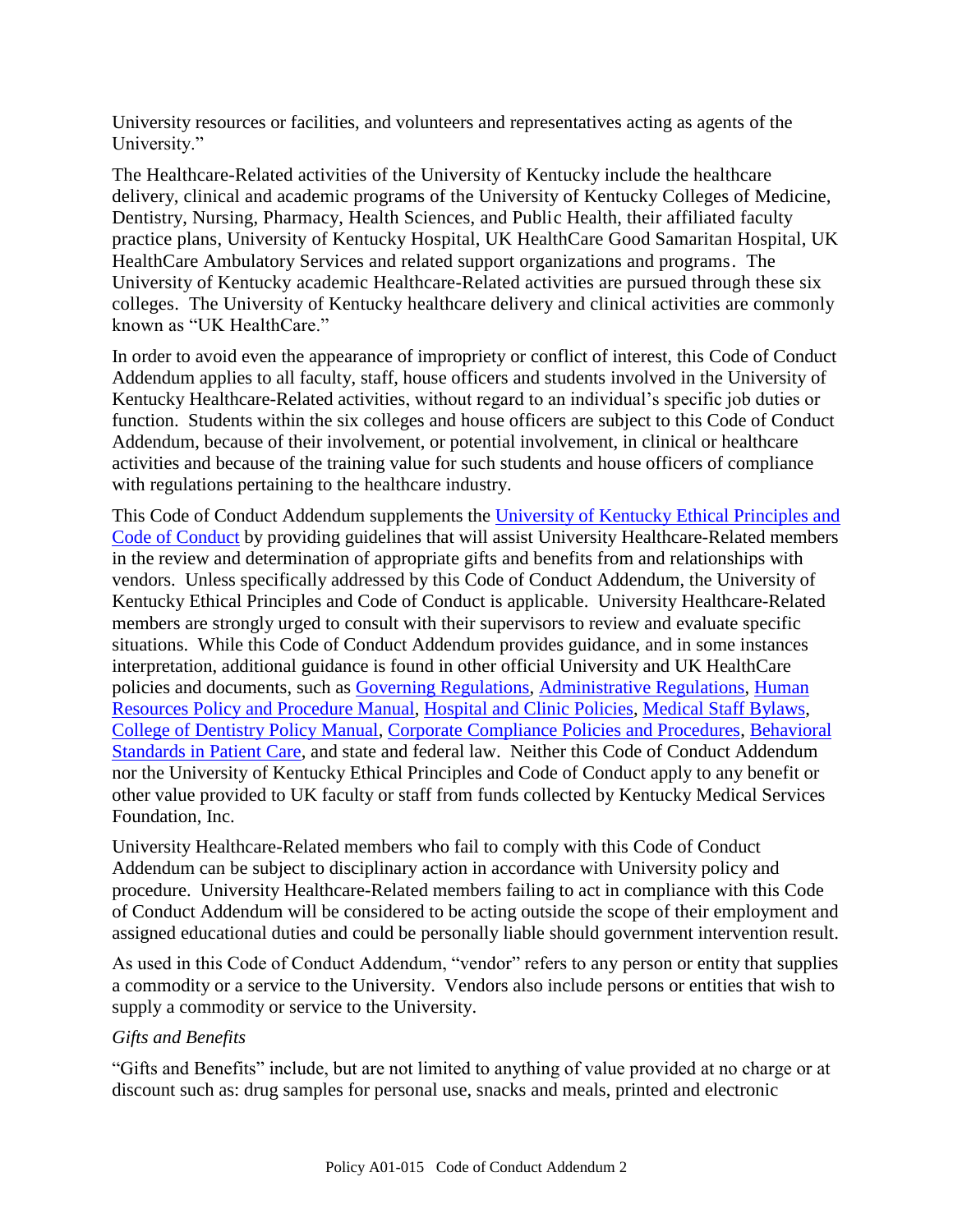University resources or facilities, and volunteers and representatives acting as agents of the University."

The Healthcare-Related activities of the University of Kentucky include the healthcare delivery, clinical and academic programs of the University of Kentucky Colleges of Medicine, Dentistry, Nursing, Pharmacy, Health Sciences, and Public Health, their affiliated faculty practice plans, University of Kentucky Hospital, UK HealthCare Good Samaritan Hospital, UK HealthCare Ambulatory Services and related support organizations and programs. The University of Kentucky academic Healthcare-Related activities are pursued through these six colleges. The University of Kentucky healthcare delivery and clinical activities are commonly known as "UK HealthCare."

In order to avoid even the appearance of impropriety or conflict of interest, this Code of Conduct Addendum applies to all faculty, staff, house officers and students involved in the University of Kentucky Healthcare-Related activities, without regard to an individual's specific job duties or function. Students within the six colleges and house officers are subject to this Code of Conduct Addendum, because of their involvement, or potential involvement, in clinical or healthcare activities and because of the training value for such students and house officers of compliance with regulations pertaining to the healthcare industry.

This Code of Conduct Addendum supplements the [University of Kentucky Ethical Principles and](http://www.uky.edu/Legal/ethicscode.htm)  [Code of Conduct](http://www.uky.edu/Legal/ethicscode.htm) by providing guidelines that will assist University Healthcare-Related members in the review and determination of appropriate gifts and benefits from and relationships with vendors. Unless specifically addressed by this Code of Conduct Addendum, the University of Kentucky Ethical Principles and Code of Conduct is applicable. University Healthcare-Related members are strongly urged to consult with their supervisors to review and evaluate specific situations. While this Code of Conduct Addendum provides guidance, and in some instances interpretation, additional guidance is found in other official University and UK HealthCare policies and documents, such as [Governing Regulations,](http://www.uky.edu/Regs/gr.htm) [Administrative Regulations,](http://www.uky.edu/Regs/ar.htm) [Human](http://www.uky.edu/HR/policies/)  [Resources Policy and Procedure Manual,](http://www.uky.edu/HR/policies/) [Hospital and Clinic Policies,](http://www.hosp.uky.edu/policies/viewpolicy.asp?PolicyManual=10&PolicyID=917) [Medical Staff Bylaws,](http://www.hosp.uky.edu/policies/bylaws/2007Bylaws.pdf) [College of Dentistry Policy Manual,](http://www.mc.uky.edu/Dentistry/students/dmd/ClinicManual08-09.pdf) [Corporate Compliance Policies and Procedures,](http://www.ukhealthcare.uky.edu/forstaff/compliance/comply_about.htm) [Behavioral](http://www.uky.edu/Provost/APFA/HCC_Documents/Behavioral%20Standards%2010-13-2008.pdf)  [Standards in Patient Care,](http://www.uky.edu/Provost/APFA/HCC_Documents/Behavioral%20Standards%2010-13-2008.pdf) and state and federal law. Neither this Code of Conduct Addendum nor the University of Kentucky Ethical Principles and Code of Conduct apply to any benefit or other value provided to UK faculty or staff from funds collected by Kentucky Medical Services Foundation, Inc.

University Healthcare-Related members who fail to comply with this Code of Conduct Addendum can be subject to disciplinary action in accordance with University policy and procedure. University Healthcare-Related members failing to act in compliance with this Code of Conduct Addendum will be considered to be acting outside the scope of their employment and assigned educational duties and could be personally liable should government intervention result.

As used in this Code of Conduct Addendum, "vendor" refers to any person or entity that supplies a commodity or a service to the University. Vendors also include persons or entities that wish to supply a commodity or service to the University.

# *Gifts and Benefits*

"Gifts and Benefits" include, but are not limited to anything of value provided at no charge or at discount such as: drug samples for personal use, snacks and meals, printed and electronic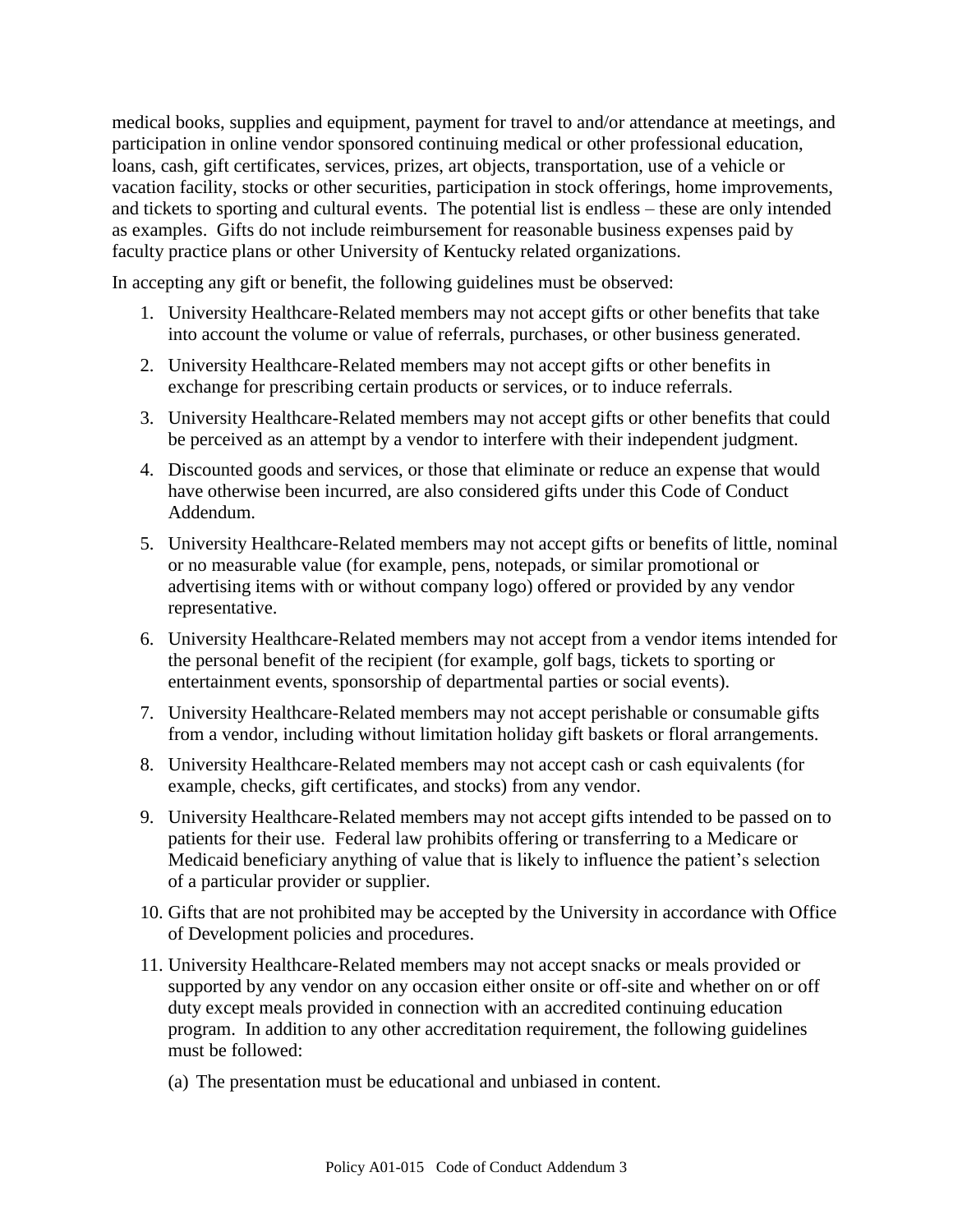medical books, supplies and equipment, payment for travel to and/or attendance at meetings, and participation in online vendor sponsored continuing medical or other professional education, loans, cash, gift certificates, services, prizes, art objects, transportation, use of a vehicle or vacation facility, stocks or other securities, participation in stock offerings, home improvements, and tickets to sporting and cultural events. The potential list is endless – these are only intended as examples. Gifts do not include reimbursement for reasonable business expenses paid by faculty practice plans or other University of Kentucky related organizations.

In accepting any gift or benefit, the following guidelines must be observed:

- 1. University Healthcare-Related members may not accept gifts or other benefits that take into account the volume or value of referrals, purchases, or other business generated.
- 2. University Healthcare-Related members may not accept gifts or other benefits in exchange for prescribing certain products or services, or to induce referrals.
- 3. University Healthcare-Related members may not accept gifts or other benefits that could be perceived as an attempt by a vendor to interfere with their independent judgment.
- 4. Discounted goods and services, or those that eliminate or reduce an expense that would have otherwise been incurred, are also considered gifts under this Code of Conduct Addendum.
- 5. University Healthcare-Related members may not accept gifts or benefits of little, nominal or no measurable value (for example, pens, notepads, or similar promotional or advertising items with or without company logo) offered or provided by any vendor representative.
- 6. University Healthcare-Related members may not accept from a vendor items intended for the personal benefit of the recipient (for example, golf bags, tickets to sporting or entertainment events, sponsorship of departmental parties or social events).
- 7. University Healthcare-Related members may not accept perishable or consumable gifts from a vendor, including without limitation holiday gift baskets or floral arrangements.
- 8. University Healthcare-Related members may not accept cash or cash equivalents (for example, checks, gift certificates, and stocks) from any vendor.
- 9. University Healthcare-Related members may not accept gifts intended to be passed on to patients for their use. Federal law prohibits offering or transferring to a Medicare or Medicaid beneficiary anything of value that is likely to influence the patient's selection of a particular provider or supplier.
- 10. Gifts that are not prohibited may be accepted by the University in accordance with Office of Development policies and procedures.
- 11. University Healthcare-Related members may not accept snacks or meals provided or supported by any vendor on any occasion either onsite or off-site and whether on or off duty except meals provided in connection with an accredited continuing education program. In addition to any other accreditation requirement, the following guidelines must be followed:
	- (a) The presentation must be educational and unbiased in content.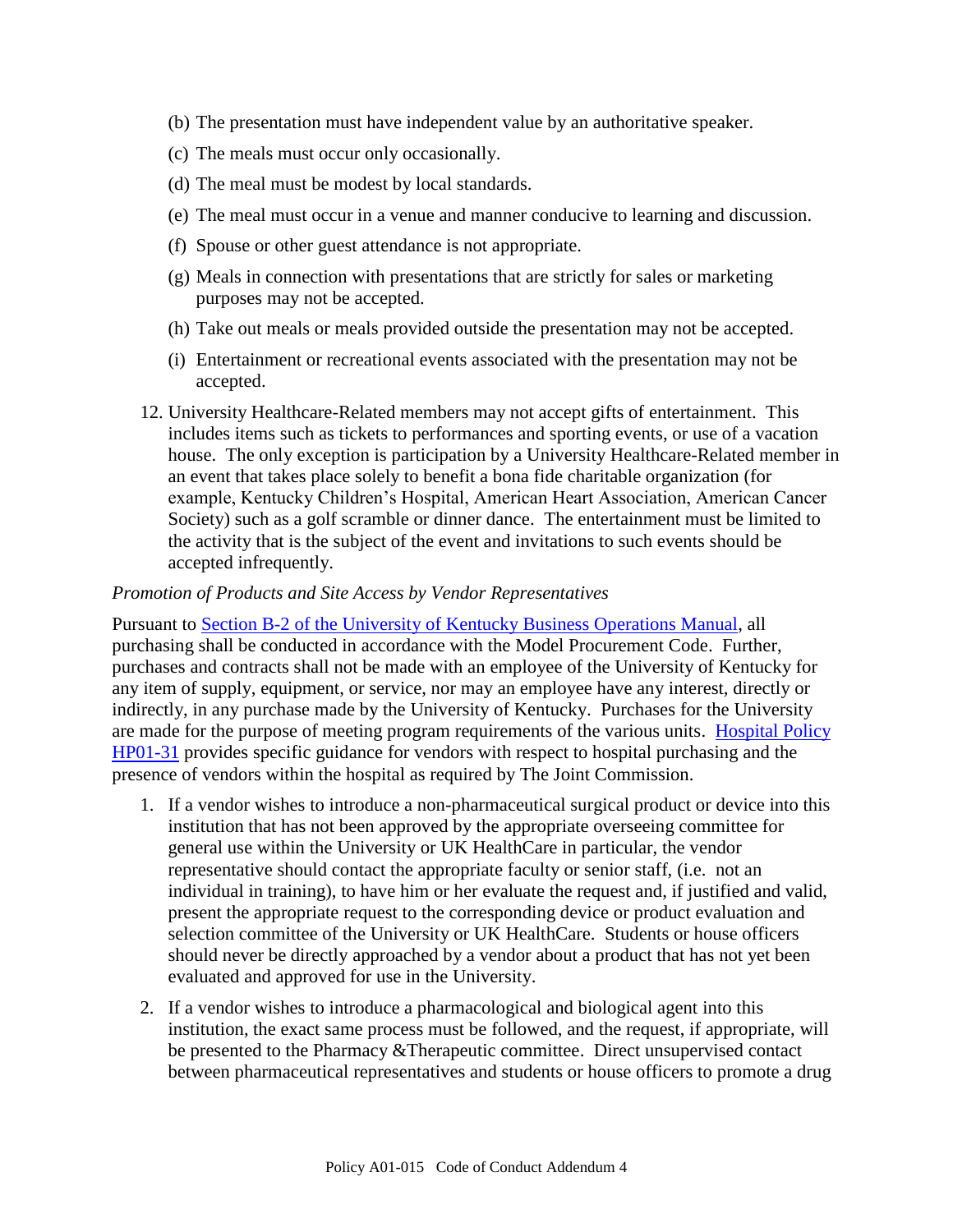- (b) The presentation must have independent value by an authoritative speaker.
- (c) The meals must occur only occasionally.
- (d) The meal must be modest by local standards.
- (e) The meal must occur in a venue and manner conducive to learning and discussion.
- (f) Spouse or other guest attendance is not appropriate.
- (g) Meals in connection with presentations that are strictly for sales or marketing purposes may not be accepted.
- (h) Take out meals or meals provided outside the presentation may not be accepted.
- (i) Entertainment or recreational events associated with the presentation may not be accepted.
- 12. University Healthcare-Related members may not accept gifts of entertainment. This includes items such as tickets to performances and sporting events, or use of a vacation house. The only exception is participation by a University Healthcare-Related member in an event that takes place solely to benefit a bona fide charitable organization (for example, Kentucky Children's Hospital, American Heart Association, American Cancer Society) such as a golf scramble or dinner dance. The entertainment must be limited to the activity that is the subject of the event and invitations to such events should be accepted infrequently.

#### *Promotion of Products and Site Access by Vendor Representatives*

Pursuant to [Section B-2 of the University of Kentucky Business Operations Manual,](http://www.uky.edu/EVPFA/Controller/files/BPM/B-2.pdf) all purchasing shall be conducted in accordance with the Model Procurement Code. Further, purchases and contracts shall not be made with an employee of the University of Kentucky for any item of supply, equipment, or service, nor may an employee have any interest, directly or indirectly, in any purchase made by the University of Kentucky. Purchases for the University are made for the purpose of meeting program requirements of the various units. [Hospital Policy](http://www.hosp.uky.edu/policies/viewpolicy.asp?PolicyManual=10&PolicyID=793)  [HP01-31](http://www.hosp.uky.edu/policies/viewpolicy.asp?PolicyManual=10&PolicyID=793) provides specific guidance for vendors with respect to hospital purchasing and the presence of vendors within the hospital as required by The Joint Commission.

- 1. If a vendor wishes to introduce a non-pharmaceutical surgical product or device into this institution that has not been approved by the appropriate overseeing committee for general use within the University or UK HealthCare in particular, the vendor representative should contact the appropriate faculty or senior staff, (i.e. not an individual in training), to have him or her evaluate the request and, if justified and valid, present the appropriate request to the corresponding device or product evaluation and selection committee of the University or UK HealthCare. Students or house officers should never be directly approached by a vendor about a product that has not yet been evaluated and approved for use in the University.
- 2. If a vendor wishes to introduce a pharmacological and biological agent into this institution, the exact same process must be followed, and the request, if appropriate, will be presented to the Pharmacy &Therapeutic committee. Direct unsupervised contact between pharmaceutical representatives and students or house officers to promote a drug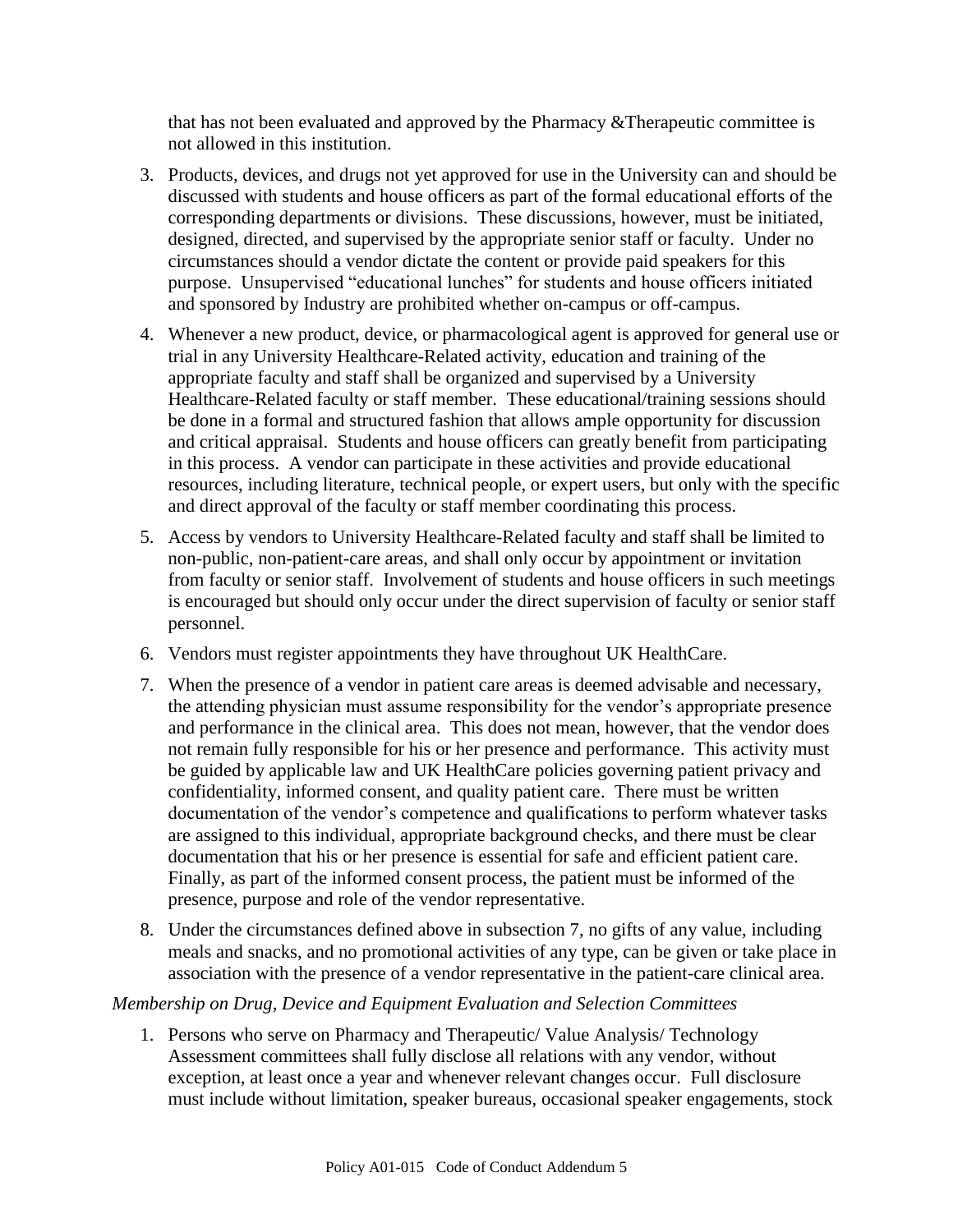that has not been evaluated and approved by the Pharmacy &Therapeutic committee is not allowed in this institution.

- 3. Products, devices, and drugs not yet approved for use in the University can and should be discussed with students and house officers as part of the formal educational efforts of the corresponding departments or divisions. These discussions, however, must be initiated, designed, directed, and supervised by the appropriate senior staff or faculty. Under no circumstances should a vendor dictate the content or provide paid speakers for this purpose. Unsupervised "educational lunches" for students and house officers initiated and sponsored by Industry are prohibited whether on-campus or off-campus.
- 4. Whenever a new product, device, or pharmacological agent is approved for general use or trial in any University Healthcare-Related activity, education and training of the appropriate faculty and staff shall be organized and supervised by a University Healthcare-Related faculty or staff member. These educational/training sessions should be done in a formal and structured fashion that allows ample opportunity for discussion and critical appraisal. Students and house officers can greatly benefit from participating in this process. A vendor can participate in these activities and provide educational resources, including literature, technical people, or expert users, but only with the specific and direct approval of the faculty or staff member coordinating this process.
- 5. Access by vendors to University Healthcare-Related faculty and staff shall be limited to non-public, non-patient-care areas, and shall only occur by appointment or invitation from faculty or senior staff. Involvement of students and house officers in such meetings is encouraged but should only occur under the direct supervision of faculty or senior staff personnel.
- 6. Vendors must register appointments they have throughout UK HealthCare.
- 7. When the presence of a vendor in patient care areas is deemed advisable and necessary, the attending physician must assume responsibility for the vendor's appropriate presence and performance in the clinical area. This does not mean, however, that the vendor does not remain fully responsible for his or her presence and performance. This activity must be guided by applicable law and UK HealthCare policies governing patient privacy and confidentiality, informed consent, and quality patient care. There must be written documentation of the vendor's competence and qualifications to perform whatever tasks are assigned to this individual, appropriate background checks, and there must be clear documentation that his or her presence is essential for safe and efficient patient care. Finally, as part of the informed consent process, the patient must be informed of the presence, purpose and role of the vendor representative.
- 8. Under the circumstances defined above in subsection 7, no gifts of any value, including meals and snacks, and no promotional activities of any type, can be given or take place in association with the presence of a vendor representative in the patient-care clinical area.

# *Membership on Drug, Device and Equipment Evaluation and Selection Committees*

1. Persons who serve on Pharmacy and Therapeutic/ Value Analysis/ Technology Assessment committees shall fully disclose all relations with any vendor, without exception, at least once a year and whenever relevant changes occur. Full disclosure must include without limitation, speaker bureaus, occasional speaker engagements, stock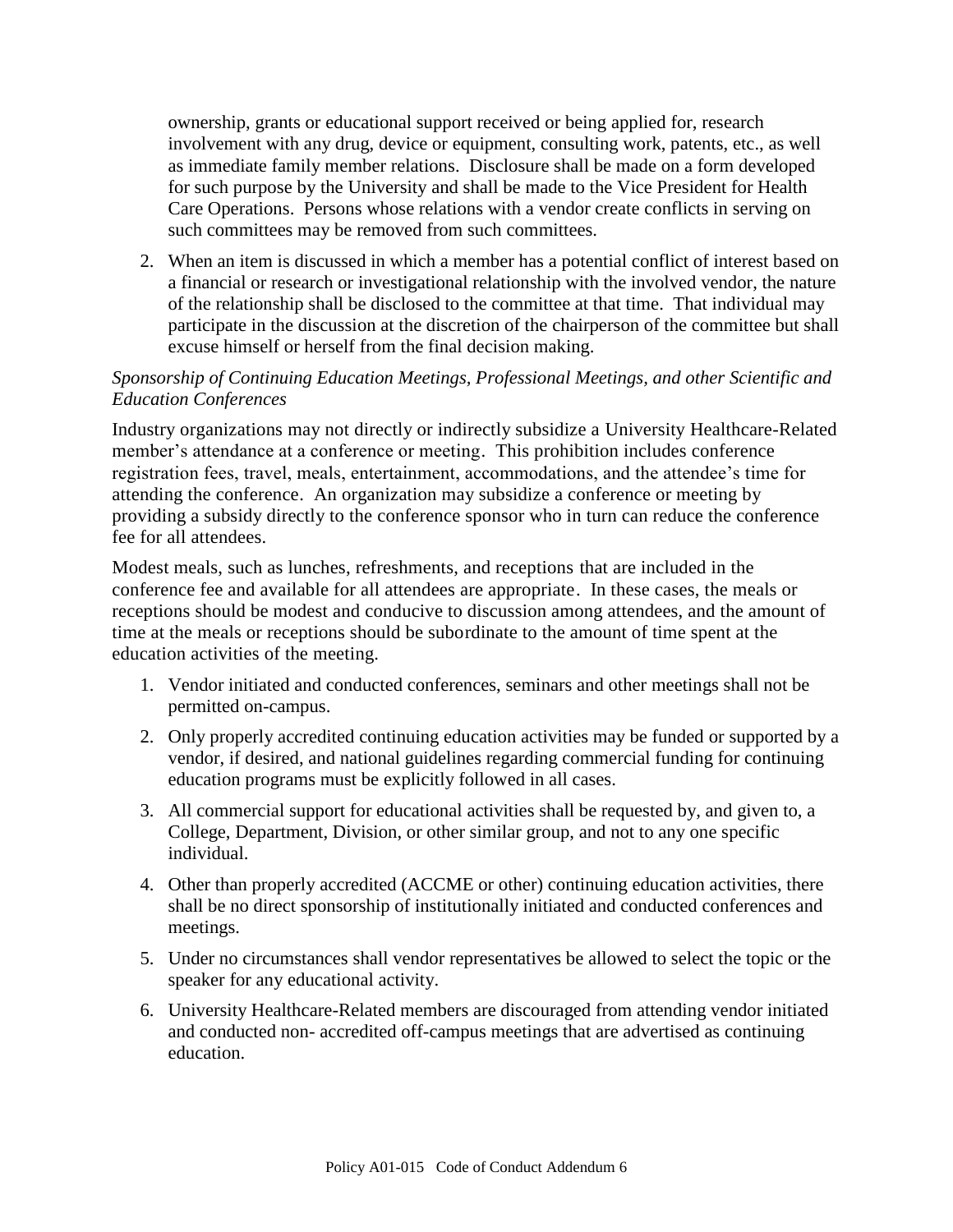ownership, grants or educational support received or being applied for, research involvement with any drug, device or equipment, consulting work, patents, etc., as well as immediate family member relations. Disclosure shall be made on a form developed for such purpose by the University and shall be made to the Vice President for Health Care Operations. Persons whose relations with a vendor create conflicts in serving on such committees may be removed from such committees.

2. When an item is discussed in which a member has a potential conflict of interest based on a financial or research or investigational relationship with the involved vendor, the nature of the relationship shall be disclosed to the committee at that time. That individual may participate in the discussion at the discretion of the chairperson of the committee but shall excuse himself or herself from the final decision making.

# *Sponsorship of Continuing Education Meetings, Professional Meetings, and other Scientific and Education Conferences*

Industry organizations may not directly or indirectly subsidize a University Healthcare-Related member's attendance at a conference or meeting. This prohibition includes conference registration fees, travel, meals, entertainment, accommodations, and the attendee's time for attending the conference. An organization may subsidize a conference or meeting by providing a subsidy directly to the conference sponsor who in turn can reduce the conference fee for all attendees.

Modest meals, such as lunches, refreshments, and receptions that are included in the conference fee and available for all attendees are appropriate. In these cases, the meals or receptions should be modest and conducive to discussion among attendees, and the amount of time at the meals or receptions should be subordinate to the amount of time spent at the education activities of the meeting.

- 1. Vendor initiated and conducted conferences, seminars and other meetings shall not be permitted on-campus.
- 2. Only properly accredited continuing education activities may be funded or supported by a vendor, if desired, and national guidelines regarding commercial funding for continuing education programs must be explicitly followed in all cases.
- 3. All commercial support for educational activities shall be requested by, and given to, a College, Department, Division, or other similar group, and not to any one specific individual.
- 4. Other than properly accredited (ACCME or other) continuing education activities, there shall be no direct sponsorship of institutionally initiated and conducted conferences and meetings.
- 5. Under no circumstances shall vendor representatives be allowed to select the topic or the speaker for any educational activity.
- 6. University Healthcare-Related members are discouraged from attending vendor initiated and conducted non- accredited off-campus meetings that are advertised as continuing education.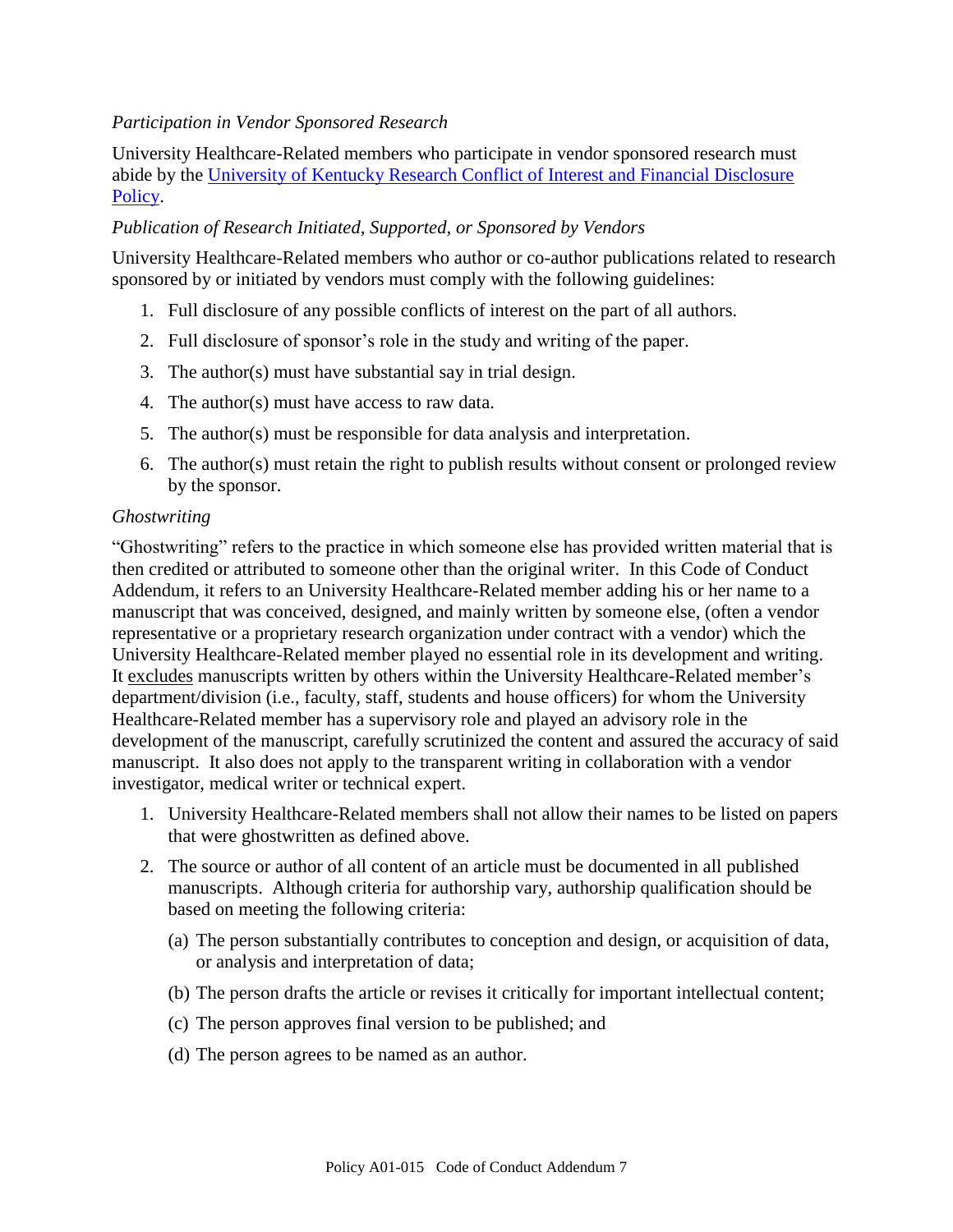# *Participation in Vendor Sponsored Research*

University Healthcare-Related members who participate in vendor sponsored research must abide by the [University of Kentucky Research Conflict of Interest and Financial Disclosure](http://www.uky.edu/Regs/files/ar/ar070.pdf)  [Policy.](http://www.uky.edu/Regs/files/ar/ar070.pdf)

## *Publication of Research Initiated, Supported, or Sponsored by Vendors*

University Healthcare-Related members who author or co-author publications related to research sponsored by or initiated by vendors must comply with the following guidelines:

- 1. Full disclosure of any possible conflicts of interest on the part of all authors.
- 2. Full disclosure of sponsor's role in the study and writing of the paper.
- 3. The author(s) must have substantial say in trial design.
- 4. The author(s) must have access to raw data.
- 5. The author(s) must be responsible for data analysis and interpretation.
- 6. The author(s) must retain the right to publish results without consent or prolonged review by the sponsor.

#### *Ghostwriting*

"Ghostwriting" refers to the practice in which someone else has provided written material that is then credited or attributed to someone other than the original writer. In this Code of Conduct Addendum, it refers to an University Healthcare-Related member adding his or her name to a manuscript that was conceived, designed, and mainly written by someone else, (often a vendor representative or a proprietary research organization under contract with a vendor) which the University Healthcare-Related member played no essential role in its development and writing. It excludes manuscripts written by others within the University Healthcare-Related member's department/division (i.e., faculty, staff, students and house officers) for whom the University Healthcare-Related member has a supervisory role and played an advisory role in the development of the manuscript, carefully scrutinized the content and assured the accuracy of said manuscript. It also does not apply to the transparent writing in collaboration with a vendor investigator, medical writer or technical expert.

- 1. University Healthcare-Related members shall not allow their names to be listed on papers that were ghostwritten as defined above.
- 2. The source or author of all content of an article must be documented in all published manuscripts. Although criteria for authorship vary, authorship qualification should be based on meeting the following criteria:
	- (a) The person substantially contributes to conception and design, or acquisition of data, or analysis and interpretation of data;
	- (b) The person drafts the article or revises it critically for important intellectual content;
	- (c) The person approves final version to be published; and
	- (d) The person agrees to be named as an author.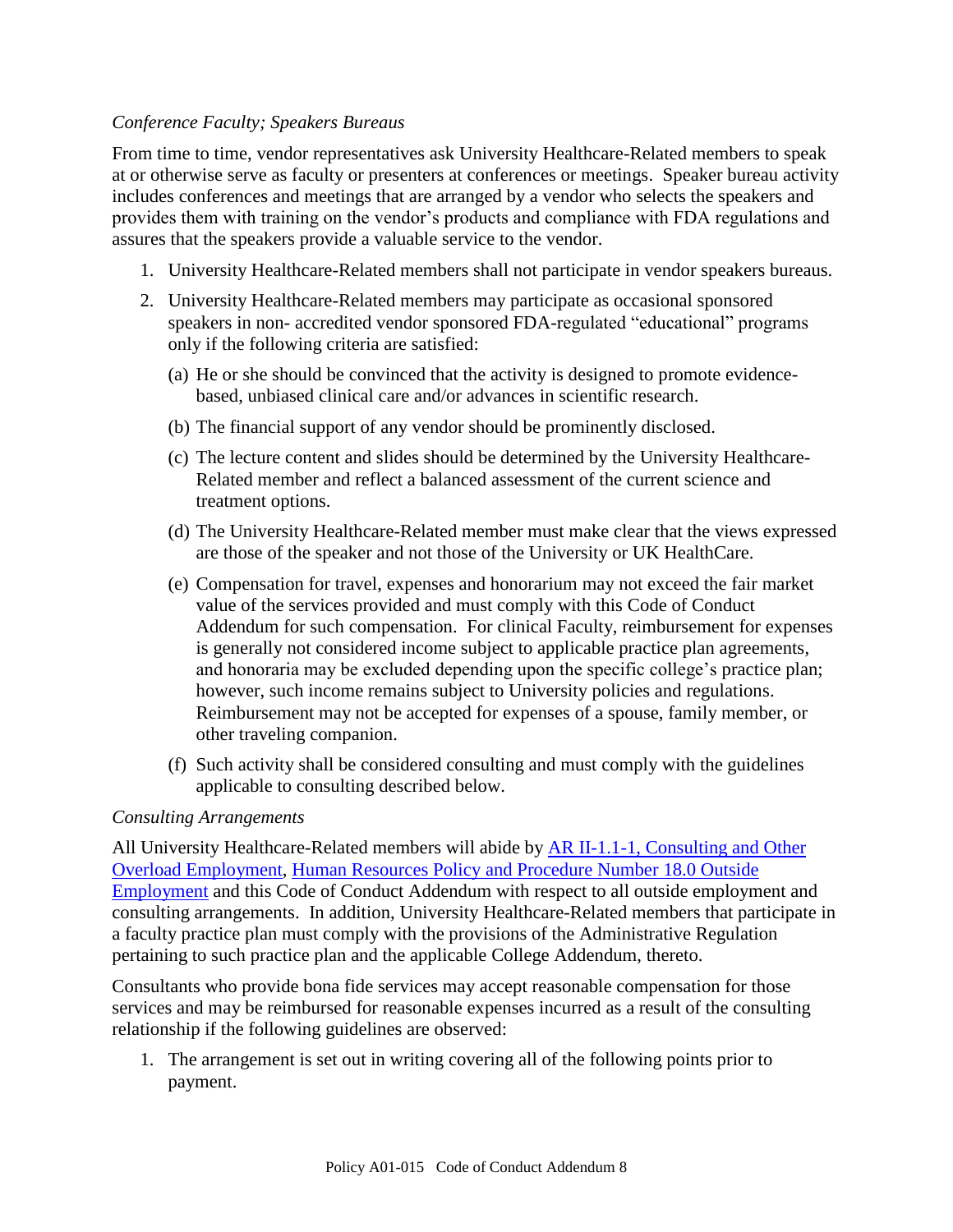## *Conference Faculty; Speakers Bureaus*

From time to time, vendor representatives ask University Healthcare-Related members to speak at or otherwise serve as faculty or presenters at conferences or meetings. Speaker bureau activity includes conferences and meetings that are arranged by a vendor who selects the speakers and provides them with training on the vendor's products and compliance with FDA regulations and assures that the speakers provide a valuable service to the vendor.

- 1. University Healthcare-Related members shall not participate in vendor speakers bureaus.
- 2. University Healthcare-Related members may participate as occasional sponsored speakers in non- accredited vendor sponsored FDA-regulated "educational" programs only if the following criteria are satisfied:
	- (a) He or she should be convinced that the activity is designed to promote evidencebased, unbiased clinical care and/or advances in scientific research.
	- (b) The financial support of any vendor should be prominently disclosed.
	- (c) The lecture content and slides should be determined by the University Healthcare-Related member and reflect a balanced assessment of the current science and treatment options.
	- (d) The University Healthcare-Related member must make clear that the views expressed are those of the speaker and not those of the University or UK HealthCare.
	- (e) Compensation for travel, expenses and honorarium may not exceed the fair market value of the services provided and must comply with this Code of Conduct Addendum for such compensation. For clinical Faculty, reimbursement for expenses is generally not considered income subject to applicable practice plan agreements, and honoraria may be excluded depending upon the specific college's practice plan; however, such income remains subject to University policies and regulations. Reimbursement may not be accepted for expenses of a spouse, family member, or other traveling companion.
	- (f) Such activity shall be considered consulting and must comply with the guidelines applicable to consulting described below.

#### *Consulting Arrangements*

All University Healthcare-Related members will abide by [AR II-1.1-1, Consulting and Other](http://www.uky.edu/Regs/files/ar/ar032.pdf)  [Overload Employment,](http://www.uky.edu/Regs/files/ar/ar032.pdf) Human Resources Policy [and Procedure Number 18.0 Outside](http://www.uky.edu/HR/policies/hrpp018.html)  [Employment](http://www.uky.edu/HR/policies/hrpp018.html) and this Code of Conduct Addendum with respect to all outside employment and consulting arrangements. In addition, University Healthcare-Related members that participate in a faculty practice plan must comply with the provisions of the Administrative Regulation pertaining to such practice plan and the applicable College Addendum, thereto.

Consultants who provide bona fide services may accept reasonable compensation for those services and may be reimbursed for reasonable expenses incurred as a result of the consulting relationship if the following guidelines are observed:

1. The arrangement is set out in writing covering all of the following points prior to payment.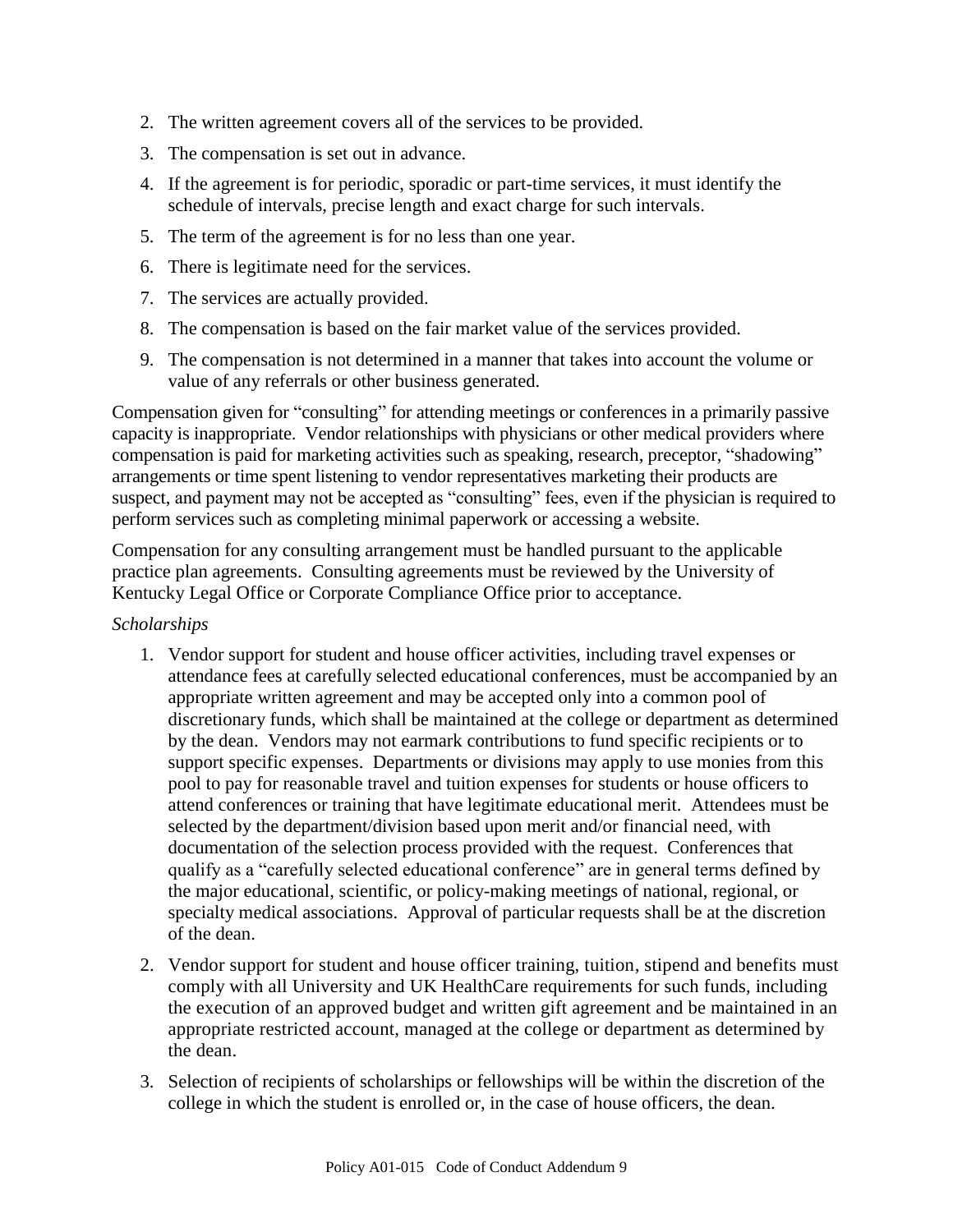- 2. The written agreement covers all of the services to be provided.
- 3. The compensation is set out in advance.
- 4. If the agreement is for periodic, sporadic or part-time services, it must identify the schedule of intervals, precise length and exact charge for such intervals.
- 5. The term of the agreement is for no less than one year.
- 6. There is legitimate need for the services.
- 7. The services are actually provided.
- 8. The compensation is based on the fair market value of the services provided.
- 9. The compensation is not determined in a manner that takes into account the volume or value of any referrals or other business generated.

Compensation given for "consulting" for attending meetings or conferences in a primarily passive capacity is inappropriate. Vendor relationships with physicians or other medical providers where compensation is paid for marketing activities such as speaking, research, preceptor, "shadowing" arrangements or time spent listening to vendor representatives marketing their products are suspect, and payment may not be accepted as "consulting" fees, even if the physician is required to perform services such as completing minimal paperwork or accessing a website.

Compensation for any consulting arrangement must be handled pursuant to the applicable practice plan agreements. Consulting agreements must be reviewed by the University of Kentucky Legal Office or Corporate Compliance Office prior to acceptance.

## *Scholarships*

- 1. Vendor support for student and house officer activities, including travel expenses or attendance fees at carefully selected educational conferences, must be accompanied by an appropriate written agreement and may be accepted only into a common pool of discretionary funds, which shall be maintained at the college or department as determined by the dean. Vendors may not earmark contributions to fund specific recipients or to support specific expenses. Departments or divisions may apply to use monies from this pool to pay for reasonable travel and tuition expenses for students or house officers to attend conferences or training that have legitimate educational merit. Attendees must be selected by the department/division based upon merit and/or financial need, with documentation of the selection process provided with the request. Conferences that qualify as a "carefully selected educational conference" are in general terms defined by the major educational, scientific, or policy-making meetings of national, regional, or specialty medical associations. Approval of particular requests shall be at the discretion of the dean.
- 2. Vendor support for student and house officer training, tuition, stipend and benefits must comply with all University and UK HealthCare requirements for such funds, including the execution of an approved budget and written gift agreement and be maintained in an appropriate restricted account, managed at the college or department as determined by the dean.
- 3. Selection of recipients of scholarships or fellowships will be within the discretion of the college in which the student is enrolled or, in the case of house officers, the dean.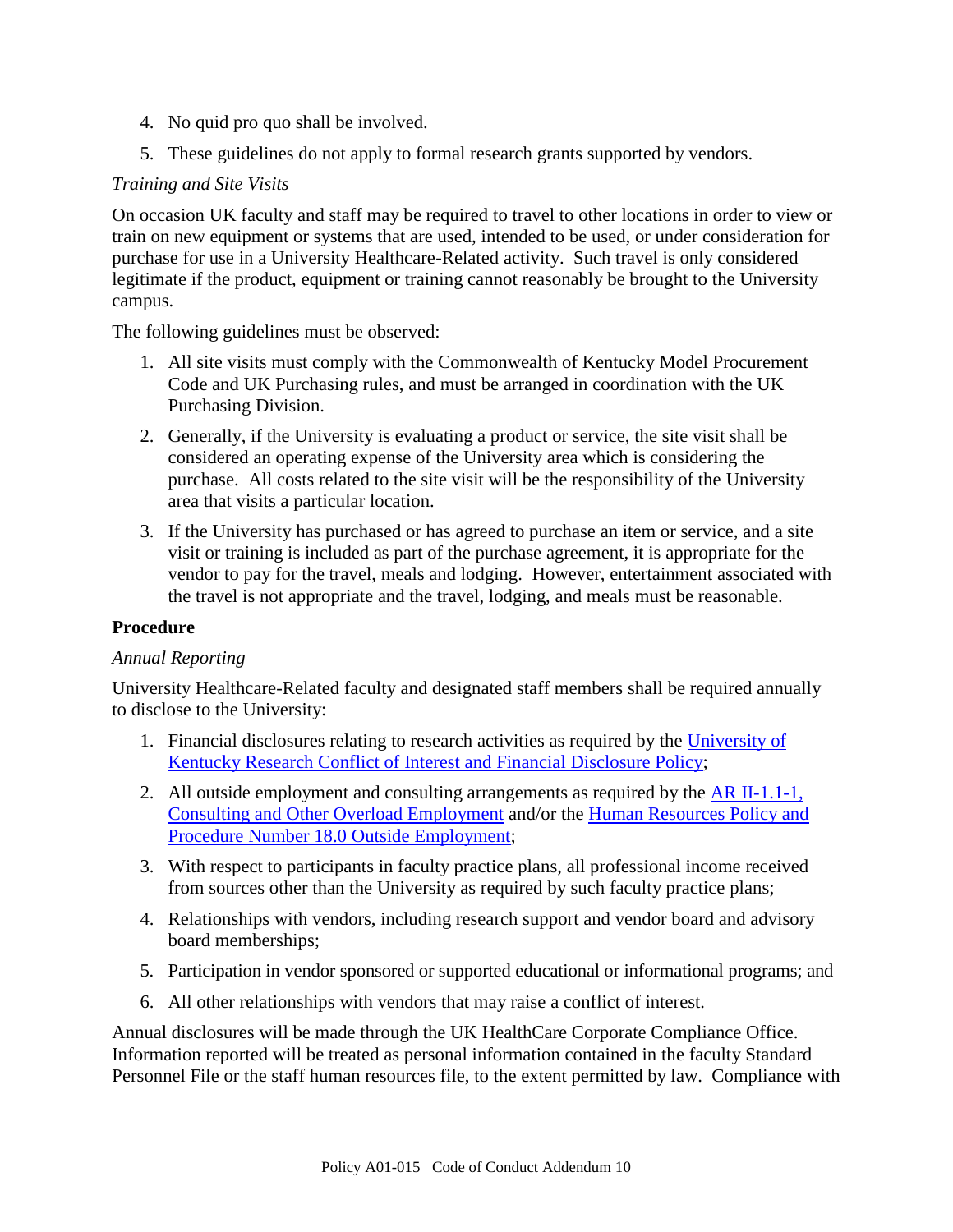- 4. No quid pro quo shall be involved.
- 5. These guidelines do not apply to formal research grants supported by vendors.

## *Training and Site Visits*

On occasion UK faculty and staff may be required to travel to other locations in order to view or train on new equipment or systems that are used, intended to be used, or under consideration for purchase for use in a University Healthcare-Related activity. Such travel is only considered legitimate if the product, equipment or training cannot reasonably be brought to the University campus.

The following guidelines must be observed:

- 1. All site visits must comply with the Commonwealth of Kentucky Model Procurement Code and UK Purchasing rules, and must be arranged in coordination with the UK Purchasing Division.
- 2. Generally, if the University is evaluating a product or service, the site visit shall be considered an operating expense of the University area which is considering the purchase. All costs related to the site visit will be the responsibility of the University area that visits a particular location.
- 3. If the University has purchased or has agreed to purchase an item or service, and a site visit or training is included as part of the purchase agreement, it is appropriate for the vendor to pay for the travel, meals and lodging. However, entertainment associated with the travel is not appropriate and the travel, lodging, and meals must be reasonable.

#### **Procedure**

#### *Annual Reporting*

University Healthcare-Related faculty and designated staff members shall be required annually to disclose to the University:

- 1. Financial disclosures relating to research activities as required by the [University of](http://www.uky.edu/Regs/files/ar/ar070.pdf)  [Kentucky Research Conflict of Interest and Financial Disclosure Policy;](http://www.uky.edu/Regs/files/ar/ar070.pdf)
- 2. All outside employment and consulting arrangements as required by the  $\overline{AR}$  II-1.1-1, [Consulting and Other Overload Employment](http://www.uky.edu/Regs/files/ar/ar032.pdf) and/or the [Human Resources Policy and](http://www.uky.edu/HR/policies/hrpp018.html)  [Procedure Number 18.0 Outside Employment;](http://www.uky.edu/HR/policies/hrpp018.html)
- 3. With respect to participants in faculty practice plans, all professional income received from sources other than the University as required by such faculty practice plans;
- 4. Relationships with vendors, including research support and vendor board and advisory board memberships;
- 5. Participation in vendor sponsored or supported educational or informational programs; and
- 6. All other relationships with vendors that may raise a conflict of interest.

Annual disclosures will be made through the UK HealthCare Corporate Compliance Office. Information reported will be treated as personal information contained in the faculty Standard Personnel File or the staff human resources file, to the extent permitted by law. Compliance with